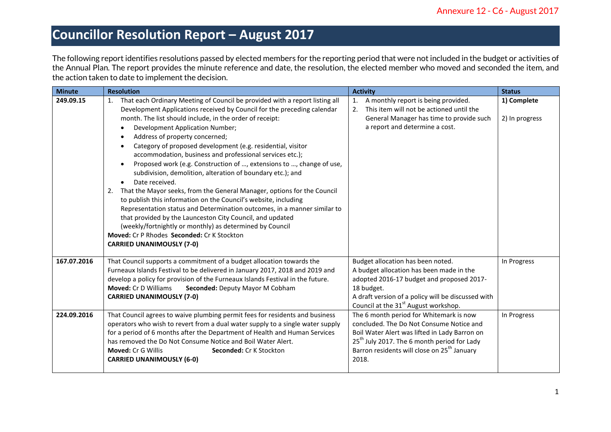The following report identifies resolutions passed by elected members for the reporting period that were not included in the budget or activities of the Annual Plan. The report provides the minute reference and date, the resolution, the elected member who moved and seconded the item, and the action taken to date to implement the decision.

| <b>Minute</b> | <b>Resolution</b>                                                                                                                               | <b>Activity</b>                                         | <b>Status</b>  |
|---------------|-------------------------------------------------------------------------------------------------------------------------------------------------|---------------------------------------------------------|----------------|
| 249.09.15     | 1. That each Ordinary Meeting of Council be provided with a report listing all                                                                  | A monthly report is being provided.<br>1.               | 1) Complete    |
|               | Development Applications received by Council for the preceding calendar                                                                         | This item will not be actioned until the<br>2.          |                |
|               | month. The list should include, in the order of receipt:                                                                                        | General Manager has time to provide such                | 2) In progress |
|               | Development Application Number;<br>$\bullet$                                                                                                    | a report and determine a cost.                          |                |
|               | Address of property concerned;<br>$\bullet$                                                                                                     |                                                         |                |
|               | Category of proposed development (e.g. residential, visitor<br>$\bullet$                                                                        |                                                         |                |
|               | accommodation, business and professional services etc.);                                                                                        |                                                         |                |
|               | Proposed work (e.g. Construction of , extensions to , change of use,<br>$\bullet$<br>subdivision, demolition, alteration of boundary etc.); and |                                                         |                |
|               | Date received.<br>$\bullet$                                                                                                                     |                                                         |                |
|               | That the Mayor seeks, from the General Manager, options for the Council<br>2.                                                                   |                                                         |                |
|               | to publish this information on the Council's website, including                                                                                 |                                                         |                |
|               | Representation status and Determination outcomes, in a manner similar to                                                                        |                                                         |                |
|               | that provided by the Launceston City Council, and updated                                                                                       |                                                         |                |
|               | (weekly/fortnightly or monthly) as determined by Council                                                                                        |                                                         |                |
|               | Moved: Cr P Rhodes Seconded: Cr K Stockton                                                                                                      |                                                         |                |
|               | <b>CARRIED UNANIMOUSLY (7-0)</b>                                                                                                                |                                                         |                |
| 167.07.2016   | That Council supports a commitment of a budget allocation towards the                                                                           | Budget allocation has been noted.                       | In Progress    |
|               | Furneaux Islands Festival to be delivered in January 2017, 2018 and 2019 and                                                                    | A budget allocation has been made in the                |                |
|               | develop a policy for provision of the Furneaux Islands Festival in the future.                                                                  | adopted 2016-17 budget and proposed 2017-               |                |
|               | <b>Moved: Cr D Williams</b><br>Seconded: Deputy Mayor M Cobham                                                                                  | 18 budget.                                              |                |
|               | <b>CARRIED UNANIMOUSLY (7-0)</b>                                                                                                                | A draft version of a policy will be discussed with      |                |
|               |                                                                                                                                                 | Council at the 31 <sup>st</sup> August workshop.        |                |
| 224.09.2016   | That Council agrees to waive plumbing permit fees for residents and business                                                                    | The 6 month period for Whitemark is now                 | In Progress    |
|               | operators who wish to revert from a dual water supply to a single water supply                                                                  | concluded. The Do Not Consume Notice and                |                |
|               | for a period of 6 months after the Department of Health and Human Services                                                                      | Boil Water Alert was lifted in Lady Barron on           |                |
|               | has removed the Do Not Consume Notice and Boil Water Alert.                                                                                     | 25 <sup>th</sup> July 2017. The 6 month period for Lady |                |
|               | <b>Moved: Cr G Willis</b><br><b>Seconded: Cr K Stockton</b>                                                                                     | Barron residents will close on 25 <sup>th</sup> January |                |
|               | <b>CARRIED UNANIMOUSLY (6-0)</b>                                                                                                                | 2018.                                                   |                |
|               |                                                                                                                                                 |                                                         |                |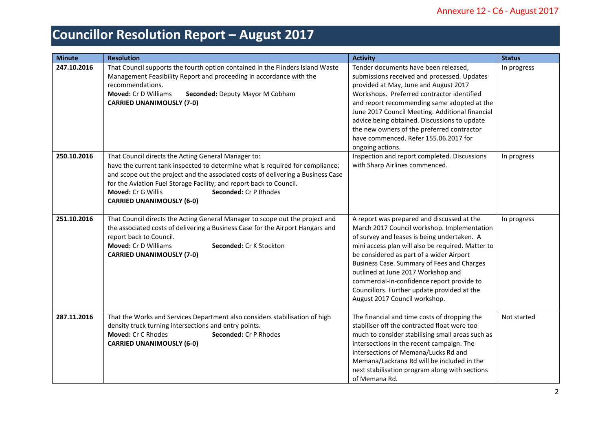| <b>Minute</b> | <b>Resolution</b>                                                                                                                                                                                                                                                                                                                                                                  | <b>Activity</b>                                                                                                                                                                                                                                                                                                                                                                                                                                             | <b>Status</b> |
|---------------|------------------------------------------------------------------------------------------------------------------------------------------------------------------------------------------------------------------------------------------------------------------------------------------------------------------------------------------------------------------------------------|-------------------------------------------------------------------------------------------------------------------------------------------------------------------------------------------------------------------------------------------------------------------------------------------------------------------------------------------------------------------------------------------------------------------------------------------------------------|---------------|
| 247.10.2016   | That Council supports the fourth option contained in the Flinders Island Waste<br>Management Feasibility Report and proceeding in accordance with the<br>recommendations.<br><b>Moved: Cr D Williams</b><br>Seconded: Deputy Mayor M Cobham<br><b>CARRIED UNANIMOUSLY (7-0)</b>                                                                                                    | Tender documents have been released,<br>submissions received and processed. Updates<br>provided at May, June and August 2017<br>Workshops. Preferred contractor identified<br>and report recommending same adopted at the<br>June 2017 Council Meeting. Additional financial<br>advice being obtained. Discussions to update<br>the new owners of the preferred contractor<br>have commenced. Refer 155.06.2017 for<br>ongoing actions.                     | In progress   |
| 250.10.2016   | That Council directs the Acting General Manager to:<br>have the current tank inspected to determine what is required for compliance;<br>and scope out the project and the associated costs of delivering a Business Case<br>for the Aviation Fuel Storage Facility; and report back to Council.<br>Moved: Cr G Willis<br>Seconded: Cr P Rhodes<br><b>CARRIED UNANIMOUSLY (6-0)</b> | Inspection and report completed. Discussions<br>with Sharp Airlines commenced.                                                                                                                                                                                                                                                                                                                                                                              | In progress   |
| 251.10.2016   | That Council directs the Acting General Manager to scope out the project and<br>the associated costs of delivering a Business Case for the Airport Hangars and<br>report back to Council.<br><b>Moved: Cr D Williams</b><br>Seconded: Cr K Stockton<br><b>CARRIED UNANIMOUSLY (7-0)</b>                                                                                            | A report was prepared and discussed at the<br>March 2017 Council workshop. Implementation<br>of survey and leases is being undertaken. A<br>mini access plan will also be required. Matter to<br>be considered as part of a wider Airport<br>Business Case. Summary of Fees and Charges<br>outlined at June 2017 Workshop and<br>commercial-in-confidence report provide to<br>Councillors. Further update provided at the<br>August 2017 Council workshop. | In progress   |
| 287.11.2016   | That the Works and Services Department also considers stabilisation of high<br>density truck turning intersections and entry points.<br>Moved: Cr C Rhodes<br>Seconded: Cr P Rhodes<br><b>CARRIED UNANIMOUSLY (6-0)</b>                                                                                                                                                            | The financial and time costs of dropping the<br>stabiliser off the contracted float were too<br>much to consider stabilising small areas such as<br>intersections in the recent campaign. The<br>intersections of Memana/Lucks Rd and<br>Memana/Lackrana Rd will be included in the<br>next stabilisation program along with sections<br>of Memana Rd.                                                                                                      | Not started   |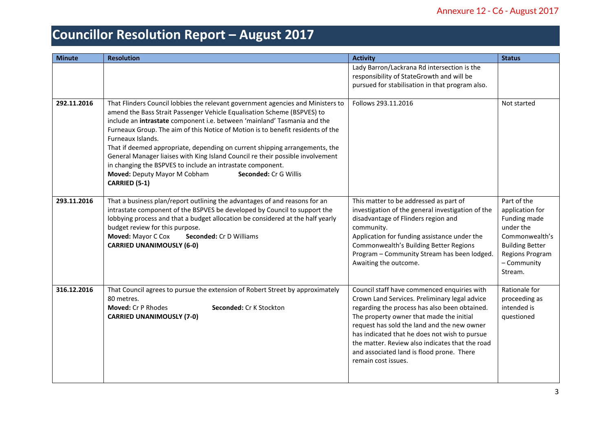| <b>Minute</b> | <b>Resolution</b>                                                                                                                                                                                                                                                                                                                                                                                                                                                                                                                                                                                                                                       | <b>Activity</b>                                                                                                                                                                                                                                                                                                                                                                                                  | <b>Status</b>                                                                                                                                        |
|---------------|---------------------------------------------------------------------------------------------------------------------------------------------------------------------------------------------------------------------------------------------------------------------------------------------------------------------------------------------------------------------------------------------------------------------------------------------------------------------------------------------------------------------------------------------------------------------------------------------------------------------------------------------------------|------------------------------------------------------------------------------------------------------------------------------------------------------------------------------------------------------------------------------------------------------------------------------------------------------------------------------------------------------------------------------------------------------------------|------------------------------------------------------------------------------------------------------------------------------------------------------|
|               |                                                                                                                                                                                                                                                                                                                                                                                                                                                                                                                                                                                                                                                         | Lady Barron/Lackrana Rd intersection is the<br>responsibility of StateGrowth and will be<br>pursued for stabilisation in that program also.                                                                                                                                                                                                                                                                      |                                                                                                                                                      |
| 292.11.2016   | That Flinders Council lobbies the relevant government agencies and Ministers to<br>amend the Bass Strait Passenger Vehicle Equalisation Scheme (BSPVES) to<br>include an intrastate component i.e. between 'mainland' Tasmania and the<br>Furneaux Group. The aim of this Notice of Motion is to benefit residents of the<br>Furneaux Islands.<br>That if deemed appropriate, depending on current shipping arrangements, the<br>General Manager liaises with King Island Council re their possible involvement<br>in changing the BSPVES to include an intrastate component.<br>Moved: Deputy Mayor M Cobham<br>Seconded: Cr G Willis<br>CARRIED (5-1) | Follows 293.11.2016                                                                                                                                                                                                                                                                                                                                                                                              | Not started                                                                                                                                          |
| 293.11.2016   | That a business plan/report outlining the advantages of and reasons for an<br>intrastate component of the BSPVES be developed by Council to support the<br>lobbying process and that a budget allocation be considered at the half yearly<br>budget review for this purpose.<br>Moved: Mayor C Cox<br><b>Seconded: Cr D Williams</b><br><b>CARRIED UNANIMOUSLY (6-0)</b>                                                                                                                                                                                                                                                                                | This matter to be addressed as part of<br>investigation of the general investigation of the<br>disadvantage of Flinders region and<br>community.<br>Application for funding assistance under the<br>Commonwealth's Building Better Regions<br>Program - Community Stream has been lodged.<br>Awaiting the outcome.                                                                                               | Part of the<br>application for<br>Funding made<br>under the<br>Commonwealth's<br><b>Building Better</b><br>Regions Program<br>- Community<br>Stream. |
| 316.12.2016   | That Council agrees to pursue the extension of Robert Street by approximately<br>80 metres.<br>Moved: Cr P Rhodes<br>Seconded: Cr K Stockton<br><b>CARRIED UNANIMOUSLY (7-0)</b>                                                                                                                                                                                                                                                                                                                                                                                                                                                                        | Council staff have commenced enquiries with<br>Crown Land Services. Preliminary legal advice<br>regarding the process has also been obtained.<br>The property owner that made the initial<br>request has sold the land and the new owner<br>has indicated that he does not wish to pursue<br>the matter. Review also indicates that the road<br>and associated land is flood prone. There<br>remain cost issues. | Rationale for<br>proceeding as<br>intended is<br>questioned                                                                                          |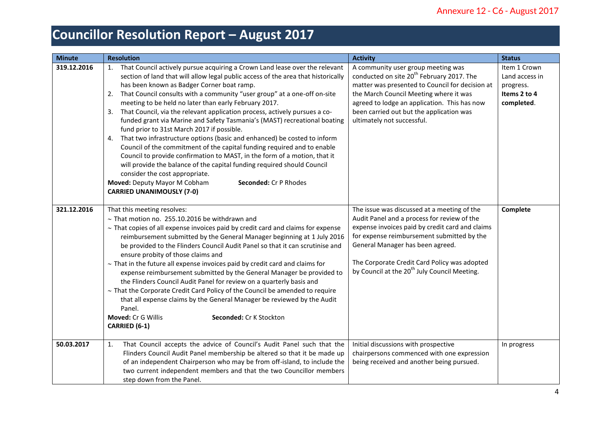| <b>Minute</b> | <b>Resolution</b>                                                                                                                                                                                                                                                                                                                                                                                                                                                                                                                                                                                                                                                                                                                                                                                                                                                                                                                                                                                                               | <b>Activity</b>                                                                                                                                                                                                                                                                                                                             | <b>Status</b>                                                             |
|---------------|---------------------------------------------------------------------------------------------------------------------------------------------------------------------------------------------------------------------------------------------------------------------------------------------------------------------------------------------------------------------------------------------------------------------------------------------------------------------------------------------------------------------------------------------------------------------------------------------------------------------------------------------------------------------------------------------------------------------------------------------------------------------------------------------------------------------------------------------------------------------------------------------------------------------------------------------------------------------------------------------------------------------------------|---------------------------------------------------------------------------------------------------------------------------------------------------------------------------------------------------------------------------------------------------------------------------------------------------------------------------------------------|---------------------------------------------------------------------------|
| 319.12.2016   | 1. That Council actively pursue acquiring a Crown Land lease over the relevant<br>section of land that will allow legal public access of the area that historically<br>has been known as Badger Corner boat ramp.<br>That Council consults with a community "user group" at a one-off on-site<br>2.<br>meeting to be held no later than early February 2017.<br>That Council, via the relevant application process, actively pursues a co-<br>3.<br>funded grant via Marine and Safety Tasmania's (MAST) recreational boating<br>fund prior to 31st March 2017 if possible.<br>That two infrastructure options (basic and enhanced) be costed to inform<br>4.<br>Council of the commitment of the capital funding required and to enable<br>Council to provide confirmation to MAST, in the form of a motion, that it<br>will provide the balance of the capital funding required should Council<br>consider the cost appropriate.<br>Moved: Deputy Mayor M Cobham<br>Seconded: Cr P Rhodes<br><b>CARRIED UNANIMOUSLY (7-0)</b> | A community user group meeting was<br>conducted on site 20 <sup>th</sup> February 2017. The<br>matter was presented to Council for decision at<br>the March Council Meeting where it was<br>agreed to lodge an application. This has now<br>been carried out but the application was<br>ultimately not successful.                          | Item 1 Crown<br>Land access in<br>progress.<br>Items 2 to 4<br>completed. |
| 321.12.2016   | That this meeting resolves:<br>$\sim$ That motion no. 255.10.2016 be withdrawn and<br>$\sim$ That copies of all expense invoices paid by credit card and claims for expense<br>reimbursement submitted by the General Manager beginning at 1 July 2016<br>be provided to the Flinders Council Audit Panel so that it can scrutinise and<br>ensure probity of those claims and<br>$\sim$ That in the future all expense invoices paid by credit card and claims for<br>expense reimbursement submitted by the General Manager be provided to<br>the Flinders Council Audit Panel for review on a quarterly basis and<br>$\sim$ That the Corporate Credit Card Policy of the Council be amended to require<br>that all expense claims by the General Manager be reviewed by the Audit<br>Panel.<br>Moved: Cr G Willis<br>Seconded: Cr K Stockton<br>CARRIED (6-1)                                                                                                                                                                 | The issue was discussed at a meeting of the<br>Audit Panel and a process for review of the<br>expense invoices paid by credit card and claims<br>for expense reimbursement submitted by the<br>General Manager has been agreed.<br>The Corporate Credit Card Policy was adopted<br>by Council at the 20 <sup>th</sup> July Council Meeting. | Complete                                                                  |
| 50.03.2017    | That Council accepts the advice of Council's Audit Panel such that the<br>1.<br>Flinders Council Audit Panel membership be altered so that it be made up<br>of an independent Chairperson who may be from off-island, to include the<br>two current independent members and that the two Councillor members<br>step down from the Panel.                                                                                                                                                                                                                                                                                                                                                                                                                                                                                                                                                                                                                                                                                        | Initial discussions with prospective<br>chairpersons commenced with one expression<br>being received and another being pursued.                                                                                                                                                                                                             | In progress                                                               |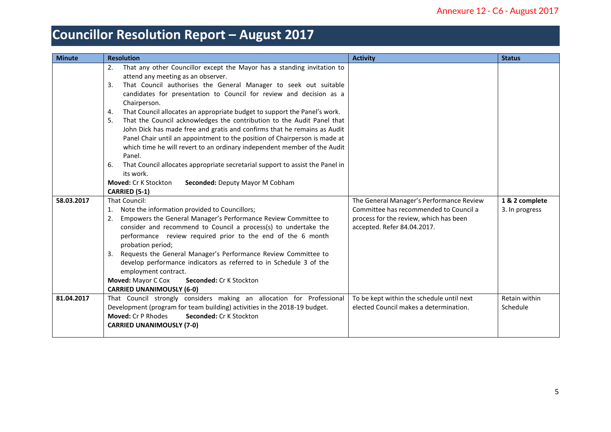| <b>Minute</b> | <b>Resolution</b>                                                                                                                                                                                                                                                                                                                                                                                                                                                                                                                                                                                                                                                                                                                                                                                                                                                                                                                                                                                                                                                                                                                                                                                                                                                                                                                                                                  | <b>Activity</b>                                                                                                                                             | <b>Status</b>                    |
|---------------|------------------------------------------------------------------------------------------------------------------------------------------------------------------------------------------------------------------------------------------------------------------------------------------------------------------------------------------------------------------------------------------------------------------------------------------------------------------------------------------------------------------------------------------------------------------------------------------------------------------------------------------------------------------------------------------------------------------------------------------------------------------------------------------------------------------------------------------------------------------------------------------------------------------------------------------------------------------------------------------------------------------------------------------------------------------------------------------------------------------------------------------------------------------------------------------------------------------------------------------------------------------------------------------------------------------------------------------------------------------------------------|-------------------------------------------------------------------------------------------------------------------------------------------------------------|----------------------------------|
| 58.03.2017    | That any other Councillor except the Mayor has a standing invitation to<br>2.<br>attend any meeting as an observer.<br>That Council authorises the General Manager to seek out suitable<br>3.<br>candidates for presentation to Council for review and decision as a<br>Chairperson.<br>That Council allocates an appropriate budget to support the Panel's work.<br>4.<br>That the Council acknowledges the contribution to the Audit Panel that<br>5.<br>John Dick has made free and gratis and confirms that he remains as Audit<br>Panel Chair until an appointment to the position of Chairperson is made at<br>which time he will revert to an ordinary independent member of the Audit<br>Panel.<br>That Council allocates appropriate secretarial support to assist the Panel in<br>6.<br>its work.<br><b>Moved: Cr K Stockton</b><br>Seconded: Deputy Mayor M Cobham<br><b>CARRIED (5-1)</b><br>That Council:<br>Note the information provided to Councillors;<br>1.<br>Empowers the General Manager's Performance Review Committee to<br>2.<br>consider and recommend to Council a process(s) to undertake the<br>performance review required prior to the end of the 6 month<br>probation period;<br>Requests the General Manager's Performance Review Committee to<br>3.<br>develop performance indicators as referred to in Schedule 3 of the<br>employment contract. | The General Manager's Performance Review<br>Committee has recommended to Council a<br>process for the review, which has been<br>accepted. Refer 84.04.2017. | 1 & 2 complete<br>3. In progress |
|               | Moved: Mayor C Cox<br>Seconded: Cr K Stockton<br><b>CARRIED UNANIMOUSLY (6-0)</b>                                                                                                                                                                                                                                                                                                                                                                                                                                                                                                                                                                                                                                                                                                                                                                                                                                                                                                                                                                                                                                                                                                                                                                                                                                                                                                  |                                                                                                                                                             |                                  |
| 81.04.2017    | That Council strongly considers making an allocation for Professional<br>Development (program for team building) activities in the 2018-19 budget.<br><b>Moved: Cr P Rhodes</b><br>Seconded: Cr K Stockton<br><b>CARRIED UNANIMOUSLY (7-0)</b>                                                                                                                                                                                                                                                                                                                                                                                                                                                                                                                                                                                                                                                                                                                                                                                                                                                                                                                                                                                                                                                                                                                                     | To be kept within the schedule until next<br>elected Council makes a determination.                                                                         | Retain within<br>Schedule        |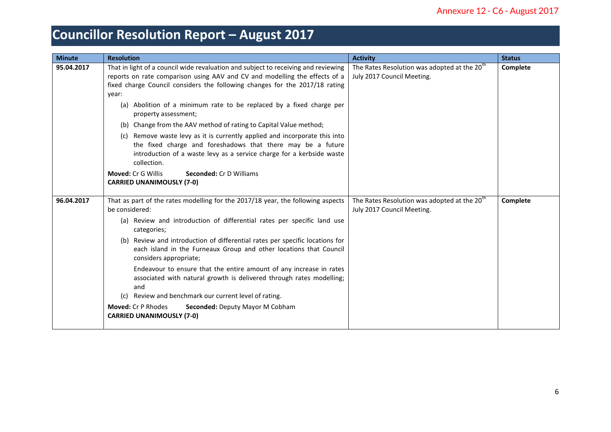| <b>Minute</b> | <b>Resolution</b>                                                                                                                                                                                                                                                                                                                | <b>Activity</b>                                                                        | <b>Status</b> |
|---------------|----------------------------------------------------------------------------------------------------------------------------------------------------------------------------------------------------------------------------------------------------------------------------------------------------------------------------------|----------------------------------------------------------------------------------------|---------------|
| 95.04.2017    | That in light of a council wide revaluation and subject to receiving and reviewing<br>reports on rate comparison using AAV and CV and modelling the effects of a<br>fixed charge Council considers the following changes for the 2017/18 rating<br>year:<br>(a) Abolition of a minimum rate to be replaced by a fixed charge per | The Rates Resolution was adopted at the 20 <sup>th</sup><br>July 2017 Council Meeting. | Complete      |
|               | property assessment;                                                                                                                                                                                                                                                                                                             |                                                                                        |               |
|               | (b) Change from the AAV method of rating to Capital Value method;                                                                                                                                                                                                                                                                |                                                                                        |               |
|               | (c) Remove waste levy as it is currently applied and incorporate this into<br>the fixed charge and foreshadows that there may be a future<br>introduction of a waste levy as a service charge for a kerbside waste<br>collection.                                                                                                |                                                                                        |               |
|               | <b>Moved: Cr G Willis</b><br><b>Seconded: Cr D Williams</b><br><b>CARRIED UNANIMOUSLY (7-0)</b>                                                                                                                                                                                                                                  |                                                                                        |               |
| 96.04.2017    | That as part of the rates modelling for the 2017/18 year, the following aspects<br>be considered:                                                                                                                                                                                                                                | The Rates Resolution was adopted at the 20 <sup>th</sup><br>July 2017 Council Meeting. | Complete      |
|               | (a) Review and introduction of differential rates per specific land use<br>categories;                                                                                                                                                                                                                                           |                                                                                        |               |
|               | (b) Review and introduction of differential rates per specific locations for<br>each island in the Furneaux Group and other locations that Council<br>considers appropriate;                                                                                                                                                     |                                                                                        |               |
|               | Endeavour to ensure that the entire amount of any increase in rates<br>associated with natural growth is delivered through rates modelling;<br>and                                                                                                                                                                               |                                                                                        |               |
|               | Review and benchmark our current level of rating.                                                                                                                                                                                                                                                                                |                                                                                        |               |
|               | <b>Moved: Cr P Rhodes</b><br>Seconded: Deputy Mayor M Cobham<br><b>CARRIED UNANIMOUSLY (7-0)</b>                                                                                                                                                                                                                                 |                                                                                        |               |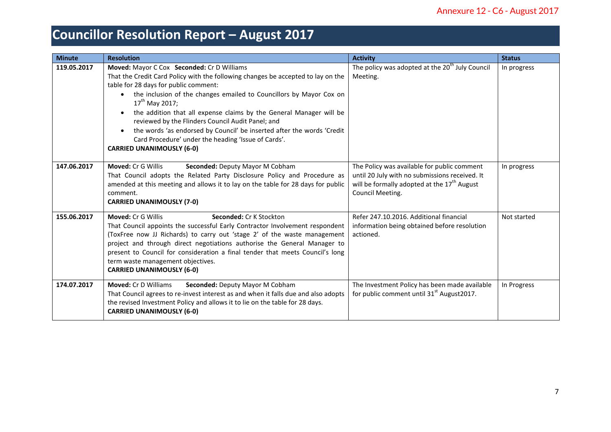| <b>Minute</b> | <b>Resolution</b>                                                                                                                                                                                                                                                                                                                                                                                                                                                                                                                                                                   | <b>Activity</b>                                                                                                                                                              | <b>Status</b> |
|---------------|-------------------------------------------------------------------------------------------------------------------------------------------------------------------------------------------------------------------------------------------------------------------------------------------------------------------------------------------------------------------------------------------------------------------------------------------------------------------------------------------------------------------------------------------------------------------------------------|------------------------------------------------------------------------------------------------------------------------------------------------------------------------------|---------------|
| 119.05.2017   | Moved: Mayor C Cox Seconded: Cr D Williams<br>That the Credit Card Policy with the following changes be accepted to lay on the<br>table for 28 days for public comment:<br>the inclusion of the changes emailed to Councillors by Mayor Cox on<br>$\bullet$<br>$17^{th}$ May 2017;<br>the addition that all expense claims by the General Manager will be<br>reviewed by the Flinders Council Audit Panel; and<br>the words 'as endorsed by Council' be inserted after the words 'Credit<br>Card Procedure' under the heading 'Issue of Cards'.<br><b>CARRIED UNANIMOUSLY (6-0)</b> | The policy was adopted at the 20 <sup>th</sup> July Council<br>Meeting.                                                                                                      | In progress   |
| 147.06.2017   | Moved: Cr G Willis<br>Seconded: Deputy Mayor M Cobham<br>That Council adopts the Related Party Disclosure Policy and Procedure as<br>amended at this meeting and allows it to lay on the table for 28 days for public<br>comment.<br><b>CARRIED UNANIMOUSLY (7-0)</b>                                                                                                                                                                                                                                                                                                               | The Policy was available for public comment<br>until 20 July with no submissions received. It<br>will be formally adopted at the 17 <sup>th</sup> August<br>Council Meeting. | In progress   |
| 155.06.2017   | Moved: Cr G Willis<br>Seconded: Cr K Stockton<br>That Council appoints the successful Early Contractor Involvement respondent<br>(ToxFree now JJ Richards) to carry out 'stage 2' of the waste management<br>project and through direct negotiations authorise the General Manager to<br>present to Council for consideration a final tender that meets Council's long<br>term waste management objectives.<br><b>CARRIED UNANIMOUSLY (6-0)</b>                                                                                                                                     | Refer 247.10.2016. Additional financial<br>information being obtained before resolution<br>actioned.                                                                         | Not started   |
| 174.07.2017   | <b>Moved: Cr D Williams</b><br>Seconded: Deputy Mayor M Cobham<br>That Council agrees to re-invest interest as and when it falls due and also adopts<br>the revised Investment Policy and allows it to lie on the table for 28 days.<br><b>CARRIED UNANIMOUSLY (6-0)</b>                                                                                                                                                                                                                                                                                                            | The Investment Policy has been made available<br>for public comment until 31 <sup>st</sup> August 2017.                                                                      | In Progress   |